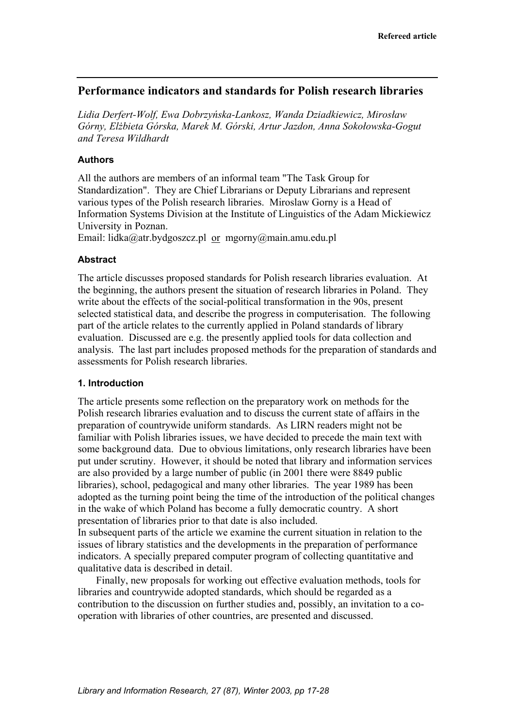# **Performance indicators and standards for Polish research libraries**

*Lidia Derfert-Wolf, Ewa Dobrzyńska-Lankosz, Wanda Dziadkiewicz, Mirosław Górny, Elżbieta Górska, Marek M. Górski, Artur Jazdon, Anna Sokołowska-Gogut and Teresa Wildhardt* 

### **Authors**

All the authors are members of an informal team "The Task Group for Standardization". They are Chief Librarians or Deputy Librarians and represent various types of the Polish research libraries. Miroslaw Gorny is a Head of Information Systems Division at the Institute of Linguistics of the Adam Mickiewicz University in Poznan.

Email: lidka@atr.bydgoszcz.pl or mgorny@main.amu.edu.pl

### **Abstract**

The article discusses proposed standards for Polish research libraries evaluation. At the beginning, the authors present the situation of research libraries in Poland. They write about the effects of the social-political transformation in the 90s, present selected statistical data, and describe the progress in computerisation. The following part of the article relates to the currently applied in Poland standards of library evaluation. Discussed are e.g. the presently applied tools for data collection and analysis. The last part includes proposed methods for the preparation of standards and assessments for Polish research libraries.

#### **1. Introduction**

The article presents some reflection on the preparatory work on methods for the Polish research libraries evaluation and to discuss the current state of affairs in the preparation of countrywide uniform standards. As LIRN readers might not be familiar with Polish libraries issues, we have decided to precede the main text with some background data. Due to obvious limitations, only research libraries have been put under scrutiny. However, it should be noted that library and information services are also provided by a large number of public (in 2001 there were 8849 public libraries), school, pedagogical and many other libraries. The year 1989 has been adopted as the turning point being the time of the introduction of the political changes in the wake of which Poland has become a fully democratic country. A short presentation of libraries prior to that date is also included.

In subsequent parts of the article we examine the current situation in relation to the issues of library statistics and the developments in the preparation of performance indicators. A specially prepared computer program of collecting quantitative and qualitative data is described in detail.

Finally, new proposals for working out effective evaluation methods, tools for libraries and countrywide adopted standards, which should be regarded as a contribution to the discussion on further studies and, possibly, an invitation to a cooperation with libraries of other countries, are presented and discussed.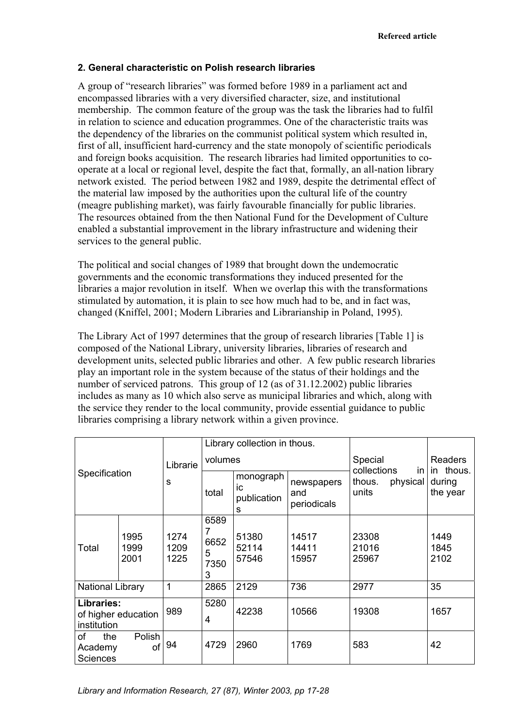# **2. General characteristic on Polish research libraries**

A group of "research libraries" was formed before 1989 in a parliament act and encompassed libraries with a very diversified character, size, and institutional membership. The common feature of the group was the task the libraries had to fulfil in relation to science and education programmes. One of the characteristic traits was the dependency of the libraries on the communist political system which resulted in, first of all, insufficient hard-currency and the state monopoly of scientific periodicals and foreign books acquisition. The research libraries had limited opportunities to cooperate at a local or regional level, despite the fact that, formally, an all-nation library network existed. The period between 1982 and 1989, despite the detrimental effect of the material law imposed by the authorities upon the cultural life of the country (meagre publishing market), was fairly favourable financially for public libraries. The resources obtained from the then National Fund for the Development of Culture enabled a substantial improvement in the library infrastructure and widening their services to the general public.

The political and social changes of 1989 that brought down the undemocratic governments and the economic transformations they induced presented for the libraries a major revolution in itself. When we overlap this with the transformations stimulated by automation, it is plain to see how much had to be, and in fact was, changed (Kniffel, 2001; Modern Libraries and Librarianship in Poland, 1995).

The Library Act of 1997 determines that the group of research libraries [Table 1] is composed of the National Library, university libraries, libraries of research and development units, selected public libraries and other. A few public research libraries play an important role in the system because of the status of their holdings and the number of serviced patrons. This group of 12 (as of 31.12.2002) public libraries includes as many as 10 which also serve as municipal libraries and which, along with the service they render to the local community, provide essential guidance to public libraries comprising a library network within a given province.

| Specification                                    |                      | Librarie<br>S        | Library collection in thous.   |                                     |                                  |                                                   |                                 |
|--------------------------------------------------|----------------------|----------------------|--------------------------------|-------------------------------------|----------------------------------|---------------------------------------------------|---------------------------------|
|                                                  |                      |                      | volumes                        |                                     |                                  | Special                                           | <b>Readers</b>                  |
|                                                  |                      |                      | total                          | monograph<br>ic<br>publication<br>S | newspapers<br>and<br>periodicals | collections<br>in.<br>physical<br>thous.<br>units | in thous.<br>during<br>the year |
| Total                                            | 1995<br>1999<br>2001 | 1274<br>1209<br>1225 | 6589<br>6652<br>5<br>7350<br>3 | 51380<br>52114<br>57546             | 14517<br>14411<br>15957          | 23308<br>21016<br>25967                           | 1449<br>1845<br>2102            |
| National Library                                 |                      | 1                    | 2865                           | 2129                                | 736                              | 2977                                              | 35                              |
| Libraries:<br>of higher education<br>institution |                      | 989                  | 5280<br>4                      | 42238                               | 10566                            | 19308                                             | 1657                            |
| of<br>the<br>Academy<br><b>Sciences</b>          | Polish<br>of         | 94                   | 4729                           | 2960                                | 1769                             | 583                                               | 42                              |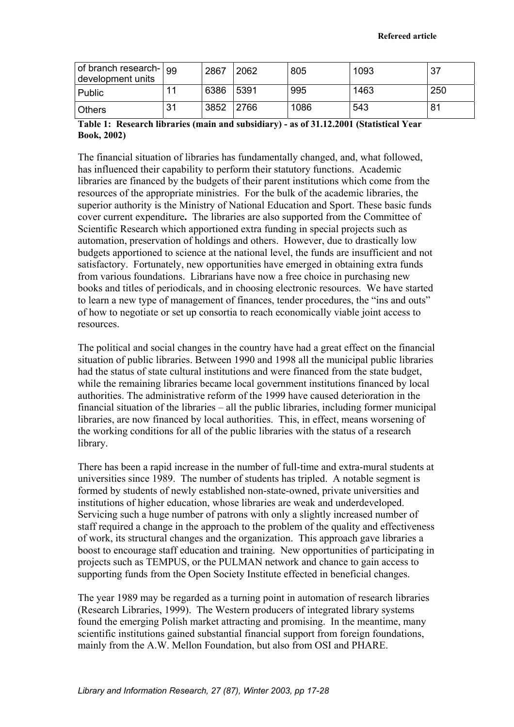| of branch research-   99<br>development units |    | 2867 | 2062 | 805  | 1093 | 37  |
|-----------------------------------------------|----|------|------|------|------|-----|
| Public                                        |    | 6386 | 5391 | 995  | 1463 | 250 |
| <b>Others</b>                                 | 31 | 3852 | 2766 | 1086 | 543  | 81  |

### **Table 1: Research libraries (main and subsidiary) - as of 31.12.2001 (Statistical Year Book, 2002)**

The financial situation of libraries has fundamentally changed, and, what followed, has influenced their capability to perform their statutory functions. Academic libraries are financed by the budgets of their parent institutions which come from the resources of the appropriate ministries. For the bulk of the academic libraries, the superior authority is the Ministry of National Education and Sport. These basic funds cover current expenditure**.** The libraries are also supported from the Committee of Scientific Research which apportioned extra funding in special projects such as automation, preservation of holdings and others. However, due to drastically low budgets apportioned to science at the national level, the funds are insufficient and not satisfactory. Fortunately, new opportunities have emerged in obtaining extra funds from various foundations. Librarians have now a free choice in purchasing new books and titles of periodicals, and in choosing electronic resources. We have started to learn a new type of management of finances, tender procedures, the "ins and outs" of how to negotiate or set up consortia to reach economically viable joint access to resources.

The political and social changes in the country have had a great effect on the financial situation of public libraries. Between 1990 and 1998 all the municipal public libraries had the status of state cultural institutions and were financed from the state budget, while the remaining libraries became local government institutions financed by local authorities. The administrative reform of the 1999 have caused deterioration in the financial situation of the libraries – all the public libraries, including former municipal libraries, are now financed by local authorities. This, in effect, means worsening of the working conditions for all of the public libraries with the status of a research library.

There has been a rapid increase in the number of full-time and extra-mural students at universities since 1989. The number of students has tripled. A notable segment is formed by students of newly established non-state-owned, private universities and institutions of higher education, whose libraries are weak and underdeveloped. Servicing such a huge number of patrons with only a slightly increased number of staff required a change in the approach to the problem of the quality and effectiveness of work, its structural changes and the organization. This approach gave libraries a boost to encourage staff education and training. New opportunities of participating in projects such as TEMPUS, or the PULMAN network and chance to gain access to supporting funds from the Open Society Institute effected in beneficial changes.

The year 1989 may be regarded as a turning point in automation of research libraries (Research Libraries, 1999). The Western producers of integrated library systems found the emerging Polish market attracting and promising. In the meantime, many scientific institutions gained substantial financial support from foreign foundations, mainly from the A.W. Mellon Foundation, but also from OSI and PHARE.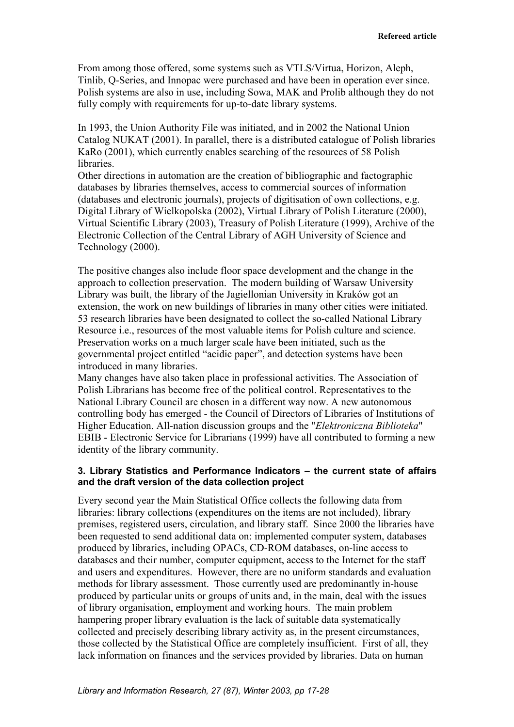From among those offered, some systems such as VTLS/Virtua, Horizon, Aleph, Tinlib, Q-Series, and Innopac were purchased and have been in operation ever since. Polish systems are also in use, including Sowa, MAK and Prolib although they do not fully comply with requirements for up-to-date library systems.

In 1993, the Union Authority File was initiated, and in 2002 the National Union Catalog NUKAT (2001). In parallel, there is a distributed catalogue of Polish libraries KaRo (2001), which currently enables searching of the resources of 58 Polish libraries.

Other directions in automation are the creation of bibliographic and factographic databases by libraries themselves, access to commercial sources of information (databases and electronic journals), projects of digitisation of own collections, e.g. Digital Library of Wielkopolska (2002), Virtual Library of Polish Literature (2000), Virtual Scientific Library (2003), Treasury of Polish Literature (1999), Archive of the Electronic Collection of the Central Library of AGH University of Science and Technology (2000).

The positive changes also include floor space development and the change in the approach to collection preservation. The modern building of Warsaw University Library was built, the library of the Jagiellonian University in Kraków got an extension, the work on new buildings of libraries in many other cities were initiated. 53 research libraries have been designated to collect the so-called National Library Resource i.e., resources of the most valuable items for Polish culture and science. Preservation works on a much larger scale have been initiated, such as the governmental project entitled "acidic paper", and detection systems have been introduced in many libraries.

Many changes have also taken place in professional activities. The Association of Polish Librarians has become free of the political control. Representatives to the National Library Council are chosen in a different way now. A new autonomous controlling body has emerged - the Council of Directors of Libraries of Institutions of Higher Education. All-nation discussion groups and the "*Elektroniczna Biblioteka*" EBIB - Electronic Service for Librarians (1999) have all contributed to forming a new identity of the library community.

## **3. Library Statistics and Performance Indicators – the current state of affairs and the draft version of the data collection project**

Every second year the Main Statistical Office collects the following data from libraries: library collections (expenditures on the items are not included), library premises, registered users, circulation, and library staff. Since 2000 the libraries have been requested to send additional data on: implemented computer system, databases produced by libraries, including OPACs, CD-ROM databases, on-line access to databases and their number, computer equipment, access to the Internet for the staff and users and expenditures. However, there are no uniform standards and evaluation methods for library assessment. Those currently used are predominantly in-house produced by particular units or groups of units and, in the main, deal with the issues of library organisation, employment and working hours. The main problem hampering proper library evaluation is the lack of suitable data systematically collected and precisely describing library activity as, in the present circumstances, those collected by the Statistical Office are completely insufficient. First of all, they lack information on finances and the services provided by libraries. Data on human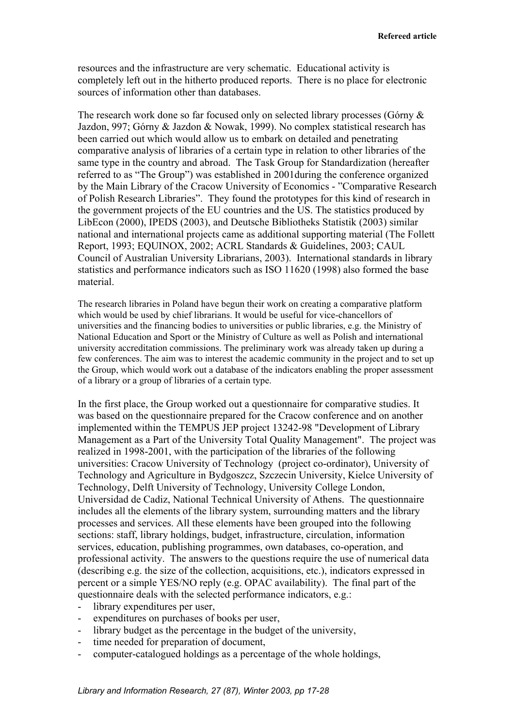resources and the infrastructure are very schematic. Educational activity is completely left out in the hitherto produced reports. There is no place for electronic sources of information other than databases.

The research work done so far focused only on selected library processes (Górny & Jazdon, 997; Górny & Jazdon & Nowak, 1999). No complex statistical research has been carried out which would allow us to embark on detailed and penetrating comparative analysis of libraries of a certain type in relation to other libraries of the same type in the country and abroad. The Task Group for Standardization (hereafter referred to as "The Group") was established in 2001during the conference organized by the Main Library of the Cracow University of Economics - "Comparative Research of Polish Research Libraries". They found the prototypes for this kind of research in the government projects of the EU countries and the US. The statistics produced by LibEcon (2000), IPEDS (2003), and Deutsche Bibliotheks Statistik (2003) similar national and international projects came as additional supporting material (The Follett Report, 1993; EQUINOX, 2002; ACRL Standards & Guidelines, 2003; CAUL Council of Australian University Librarians, 2003). International standards in library statistics and performance indicators such as ISO 11620 (1998) also formed the base material.

The research libraries in Poland have begun their work on creating a comparative platform which would be used by chief librarians. It would be useful for vice-chancellors of universities and the financing bodies to universities or public libraries, e.g. the Ministry of National Education and Sport or the Ministry of Culture as well as Polish and international university accreditation commissions. The preliminary work was already taken up during a few conferences. The aim was to interest the academic community in the project and to set up the Group, which would work out a database of the indicators enabling the proper assessment of a library or a group of libraries of a certain type.

In the first place, the Group worked out a questionnaire for comparative studies. It was based on the questionnaire prepared for the Cracow conference and on another implemented within the TEMPUS JEP project 13242-98 "Development of Library Management as a Part of the University Total Quality Management". The project was realized in 1998-2001, with the participation of the libraries of the following universities: Cracow University of Technology (project co-ordinator), University of Technology and Agriculture in Bydgoszcz, Szczecin University, Kielce University of Technology, Delft University of Technology, University College London, Universidad de Cadiz, National Technical University of Athens. The questionnaire includes all the elements of the library system, surrounding matters and the library processes and services. All these elements have been grouped into the following sections: staff, library holdings, budget, infrastructure, circulation, information services, education, publishing programmes, own databases, co-operation, and professional activity. The answers to the questions require the use of numerical data (describing e.g. the size of the collection, acquisitions, etc.), indicators expressed in percent or a simple YES/NO reply (e.g. OPAC availability). The final part of the questionnaire deals with the selected performance indicators, e.g.:

- library expenditures per user,
- expenditures on purchases of books per user,
- library budget as the percentage in the budget of the university,
- time needed for preparation of document,
- computer-catalogued holdings as a percentage of the whole holdings,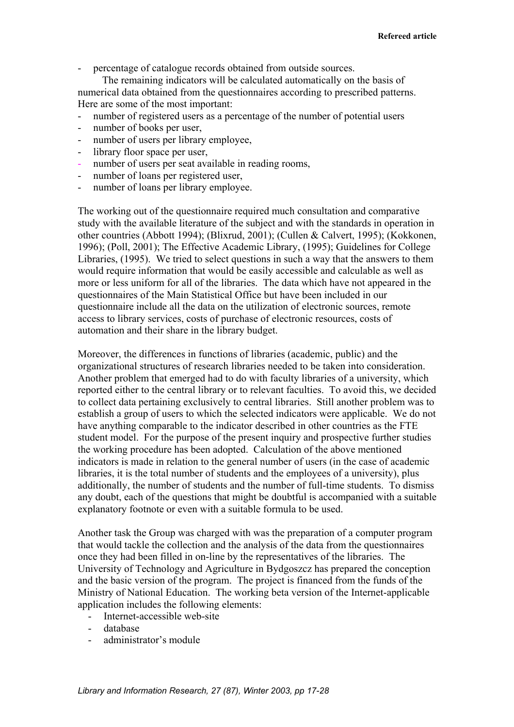- percentage of catalogue records obtained from outside sources.

The remaining indicators will be calculated automatically on the basis of numerical data obtained from the questionnaires according to prescribed patterns. Here are some of the most important:

- number of registered users as a percentage of the number of potential users
- number of books per user,
- number of users per library employee,
- library floor space per user,
- number of users per seat available in reading rooms,
- number of loans per registered user,
- number of loans per library employee.

The working out of the questionnaire required much consultation and comparative study with the available literature of the subject and with the standards in operation in other countries (Abbott 1994); (Blixrud, 2001); (Cullen & Calvert, 1995); (Kokkonen, 1996); (Poll, 2001); The Effective Academic Library, (1995); Guidelines for College Libraries, (1995). We tried to select questions in such a way that the answers to them would require information that would be easily accessible and calculable as well as more or less uniform for all of the libraries. The data which have not appeared in the questionnaires of the Main Statistical Office but have been included in our questionnaire include all the data on the utilization of electronic sources, remote access to library services, costs of purchase of electronic resources, costs of automation and their share in the library budget.

Moreover, the differences in functions of libraries (academic, public) and the organizational structures of research libraries needed to be taken into consideration. Another problem that emerged had to do with faculty libraries of a university, which reported either to the central library or to relevant faculties. To avoid this, we decided to collect data pertaining exclusively to central libraries. Still another problem was to establish a group of users to which the selected indicators were applicable. We do not have anything comparable to the indicator described in other countries as the FTE student model. For the purpose of the present inquiry and prospective further studies the working procedure has been adopted. Calculation of the above mentioned indicators is made in relation to the general number of users (in the case of academic libraries, it is the total number of students and the employees of a university), plus additionally, the number of students and the number of full-time students. To dismiss any doubt, each of the questions that might be doubtful is accompanied with a suitable explanatory footnote or even with a suitable formula to be used.

Another task the Group was charged with was the preparation of a computer program that would tackle the collection and the analysis of the data from the questionnaires once they had been filled in on-line by the representatives of the libraries. The University of Technology and Agriculture in Bydgoszcz has prepared the conception and the basic version of the program. The project is financed from the funds of the Ministry of National Education. The working beta version of the Internet-applicable application includes the following elements:

- Internet-accessible web-site
- database
- administrator's module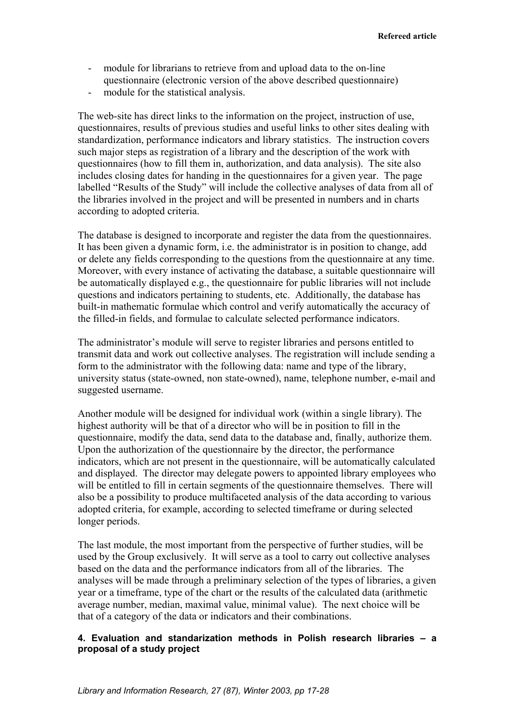- module for librarians to retrieve from and upload data to the on-line questionnaire (electronic version of the above described questionnaire)
- module for the statistical analysis.

The web-site has direct links to the information on the project, instruction of use, questionnaires, results of previous studies and useful links to other sites dealing with standardization, performance indicators and library statistics. The instruction covers such major steps as registration of a library and the description of the work with questionnaires (how to fill them in, authorization, and data analysis). The site also includes closing dates for handing in the questionnaires for a given year. The page labelled "Results of the Study" will include the collective analyses of data from all of the libraries involved in the project and will be presented in numbers and in charts according to adopted criteria.

The database is designed to incorporate and register the data from the questionnaires. It has been given a dynamic form, i.e. the administrator is in position to change, add or delete any fields corresponding to the questions from the questionnaire at any time. Moreover, with every instance of activating the database, a suitable questionnaire will be automatically displayed e.g., the questionnaire for public libraries will not include questions and indicators pertaining to students, etc. Additionally, the database has built-in mathematic formulae which control and verify automatically the accuracy of the filled-in fields, and formulae to calculate selected performance indicators.

The administrator's module will serve to register libraries and persons entitled to transmit data and work out collective analyses. The registration will include sending a form to the administrator with the following data: name and type of the library, university status (state-owned, non state-owned), name, telephone number, e-mail and suggested username.

Another module will be designed for individual work (within a single library). The highest authority will be that of a director who will be in position to fill in the questionnaire, modify the data, send data to the database and, finally, authorize them. Upon the authorization of the questionnaire by the director, the performance indicators, which are not present in the questionnaire, will be automatically calculated and displayed. The director may delegate powers to appointed library employees who will be entitled to fill in certain segments of the questionnaire themselves. There will also be a possibility to produce multifaceted analysis of the data according to various adopted criteria, for example, according to selected timeframe or during selected longer periods.

The last module, the most important from the perspective of further studies, will be used by the Group exclusively. It will serve as a tool to carry out collective analyses based on the data and the performance indicators from all of the libraries. The analyses will be made through a preliminary selection of the types of libraries, a given year or a timeframe, type of the chart or the results of the calculated data (arithmetic average number, median, maximal value, minimal value). The next choice will be that of a category of the data or indicators and their combinations.

# **4. Evaluation and standarization methods in Polish research libraries – a proposal of a study project**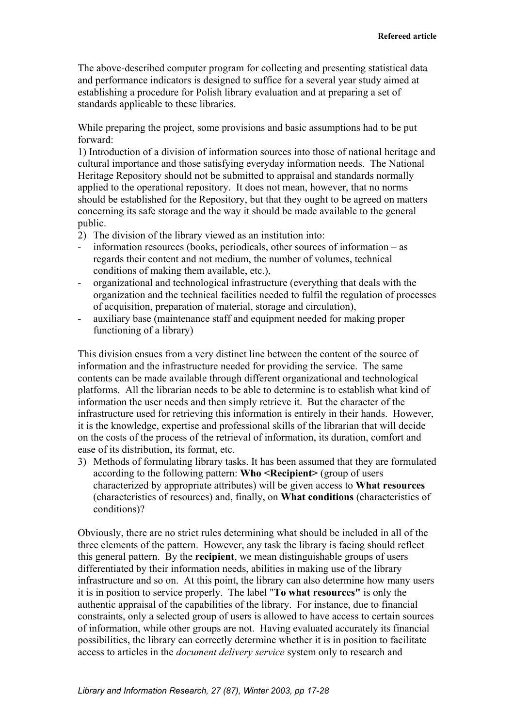The above-described computer program for collecting and presenting statistical data and performance indicators is designed to suffice for a several year study aimed at establishing a procedure for Polish library evaluation and at preparing a set of standards applicable to these libraries.

While preparing the project, some provisions and basic assumptions had to be put forward:

1) Introduction of a division of information sources into those of national heritage and cultural importance and those satisfying everyday information needs. The National Heritage Repository should not be submitted to appraisal and standards normally applied to the operational repository. It does not mean, however, that no norms should be established for the Repository, but that they ought to be agreed on matters concerning its safe storage and the way it should be made available to the general public.

- 2) The division of the library viewed as an institution into:
- $information$  resources (books, periodicals, other sources of information as regards their content and not medium, the number of volumes, technical conditions of making them available, etc.),
- organizational and technological infrastructure (everything that deals with the organization and the technical facilities needed to fulfil the regulation of processes of acquisition, preparation of material, storage and circulation),
- auxiliary base (maintenance staff and equipment needed for making proper functioning of a library)

This division ensues from a very distinct line between the content of the source of information and the infrastructure needed for providing the service. The same contents can be made available through different organizational and technological platforms. All the librarian needs to be able to determine is to establish what kind of information the user needs and then simply retrieve it. But the character of the infrastructure used for retrieving this information is entirely in their hands. However, it is the knowledge, expertise and professional skills of the librarian that will decide on the costs of the process of the retrieval of information, its duration, comfort and ease of its distribution, its format, etc.

3) Methods of formulating library tasks. It has been assumed that they are formulated according to the following pattern: **Who <Recipient>** (group of users characterized by appropriate attributes) will be given access to **What resources** (characteristics of resources) and, finally, on **What conditions** (characteristics of conditions)?

Obviously, there are no strict rules determining what should be included in all of the three elements of the pattern. However, any task the library is facing should reflect this general pattern. By the **recipient**, we mean distinguishable groups of users differentiated by their information needs, abilities in making use of the library infrastructure and so on. At this point, the library can also determine how many users it is in position to service properly. The label "**To what resources"** is only the authentic appraisal of the capabilities of the library. For instance, due to financial constraints, only a selected group of users is allowed to have access to certain sources of information, while other groups are not. Having evaluated accurately its financial possibilities, the library can correctly determine whether it is in position to facilitate access to articles in the *document delivery service* system only to research and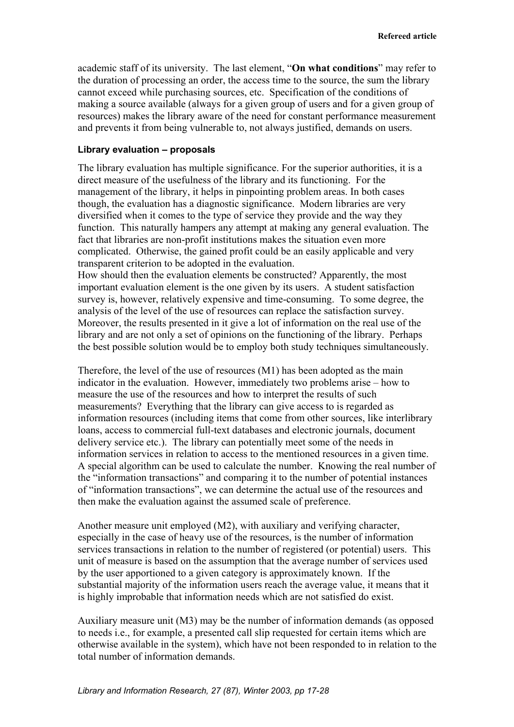academic staff of its university. The last element, "**On what conditions**" may refer to the duration of processing an order, the access time to the source, the sum the library cannot exceed while purchasing sources, etc. Specification of the conditions of making a source available (always for a given group of users and for a given group of resources) makes the library aware of the need for constant performance measurement and prevents it from being vulnerable to, not always justified, demands on users.

### **Library evaluation – proposals**

The library evaluation has multiple significance. For the superior authorities, it is a direct measure of the usefulness of the library and its functioning. For the management of the library, it helps in pinpointing problem areas. In both cases though, the evaluation has a diagnostic significance. Modern libraries are very diversified when it comes to the type of service they provide and the way they function. This naturally hampers any attempt at making any general evaluation. The fact that libraries are non-profit institutions makes the situation even more complicated. Otherwise, the gained profit could be an easily applicable and very transparent criterion to be adopted in the evaluation.

How should then the evaluation elements be constructed? Apparently, the most important evaluation element is the one given by its users. A student satisfaction survey is, however, relatively expensive and time-consuming. To some degree, the analysis of the level of the use of resources can replace the satisfaction survey. Moreover, the results presented in it give a lot of information on the real use of the library and are not only a set of opinions on the functioning of the library. Perhaps the best possible solution would be to employ both study techniques simultaneously.

Therefore, the level of the use of resources (M1) has been adopted as the main indicator in the evaluation. However, immediately two problems arise – how to measure the use of the resources and how to interpret the results of such measurements? Everything that the library can give access to is regarded as information resources (including items that come from other sources, like interlibrary loans, access to commercial full-text databases and electronic journals, document delivery service etc.). The library can potentially meet some of the needs in information services in relation to access to the mentioned resources in a given time. A special algorithm can be used to calculate the number. Knowing the real number of the "information transactions" and comparing it to the number of potential instances of "information transactions", we can determine the actual use of the resources and then make the evaluation against the assumed scale of preference.

Another measure unit employed (M2), with auxiliary and verifying character, especially in the case of heavy use of the resources, is the number of information services transactions in relation to the number of registered (or potential) users. This unit of measure is based on the assumption that the average number of services used by the user apportioned to a given category is approximately known. If the substantial majority of the information users reach the average value, it means that it is highly improbable that information needs which are not satisfied do exist.

Auxiliary measure unit (M3) may be the number of information demands (as opposed to needs i.e., for example, a presented call slip requested for certain items which are otherwise available in the system), which have not been responded to in relation to the total number of information demands.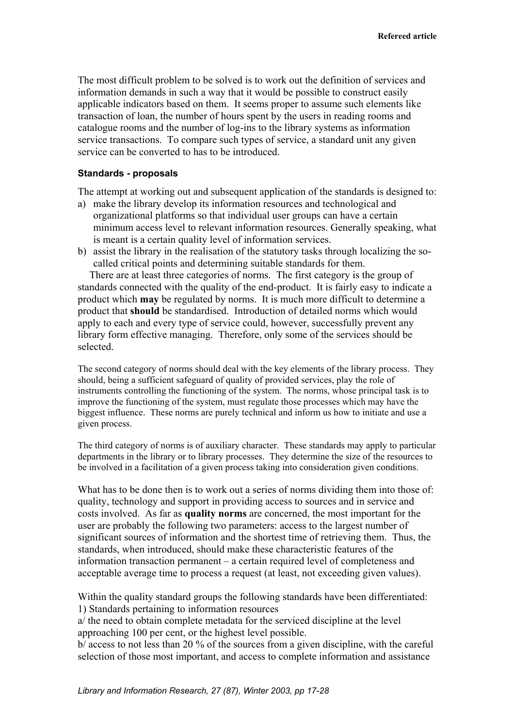The most difficult problem to be solved is to work out the definition of services and information demands in such a way that it would be possible to construct easily applicable indicators based on them. It seems proper to assume such elements like transaction of loan, the number of hours spent by the users in reading rooms and catalogue rooms and the number of log-ins to the library systems as information service transactions. To compare such types of service, a standard unit any given service can be converted to has to be introduced.

#### **Standards - proposals**

The attempt at working out and subsequent application of the standards is designed to:

- a) make the library develop its information resources and technological and organizational platforms so that individual user groups can have a certain minimum access level to relevant information resources. Generally speaking, what is meant is a certain quality level of information services.
- b) assist the library in the realisation of the statutory tasks through localizing the socalled critical points and determining suitable standards for them.

There are at least three categories of norms. The first category is the group of standards connected with the quality of the end-product. It is fairly easy to indicate a product which **may** be regulated by norms. It is much more difficult to determine a product that **should** be standardised. Introduction of detailed norms which would apply to each and every type of service could, however, successfully prevent any library form effective managing. Therefore, only some of the services should be selected.

The second category of norms should deal with the key elements of the library process. They should, being a sufficient safeguard of quality of provided services, play the role of instruments controlling the functioning of the system. The norms, whose principal task is to improve the functioning of the system, must regulate those processes which may have the biggest influence. These norms are purely technical and inform us how to initiate and use a given process.

The third category of norms is of auxiliary character. These standards may apply to particular departments in the library or to library processes. They determine the size of the resources to be involved in a facilitation of a given process taking into consideration given conditions.

What has to be done then is to work out a series of norms dividing them into those of: quality, technology and support in providing access to sources and in service and costs involved. As far as **quality norms** are concerned, the most important for the user are probably the following two parameters: access to the largest number of significant sources of information and the shortest time of retrieving them. Thus, the standards, when introduced, should make these characteristic features of the information transaction permanent – a certain required level of completeness and acceptable average time to process a request (at least, not exceeding given values).

Within the quality standard groups the following standards have been differentiated: 1) Standards pertaining to information resources

a/ the need to obtain complete metadata for the serviced discipline at the level approaching 100 per cent, or the highest level possible.

b/ access to not less than 20 % of the sources from a given discipline, with the careful selection of those most important, and access to complete information and assistance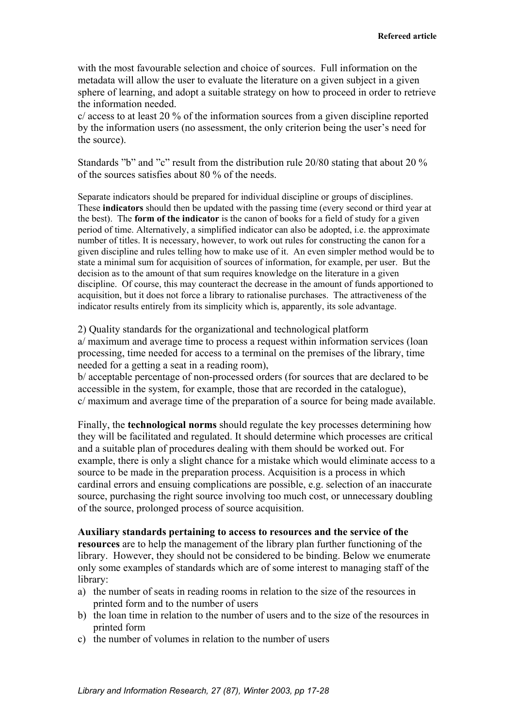with the most favourable selection and choice of sources. Full information on the metadata will allow the user to evaluate the literature on a given subject in a given sphere of learning, and adopt a suitable strategy on how to proceed in order to retrieve the information needed.

c/ access to at least 20 % of the information sources from a given discipline reported by the information users (no assessment, the only criterion being the user's need for the source).

Standards "b" and "c" result from the distribution rule 20/80 stating that about 20 % of the sources satisfies about 80 % of the needs.

Separate indicators should be prepared for individual discipline or groups of disciplines. These **indicators** should then be updated with the passing time (every second or third year at the best). The **form of the indicator** is the canon of books for a field of study for a given period of time. Alternatively, a simplified indicator can also be adopted, i.e. the approximate number of titles. It is necessary, however, to work out rules for constructing the canon for a given discipline and rules telling how to make use of it. An even simpler method would be to state a minimal sum for acquisition of sources of information, for example, per user. But the decision as to the amount of that sum requires knowledge on the literature in a given discipline. Of course, this may counteract the decrease in the amount of funds apportioned to acquisition, but it does not force a library to rationalise purchases. The attractiveness of the indicator results entirely from its simplicity which is, apparently, its sole advantage.

2) Quality standards for the organizational and technological platform a/ maximum and average time to process a request within information services (loan processing, time needed for access to a terminal on the premises of the library, time needed for a getting a seat in a reading room),

b/ acceptable percentage of non-processed orders (for sources that are declared to be accessible in the system, for example, those that are recorded in the catalogue), c/ maximum and average time of the preparation of a source for being made available.

Finally, the **technological norms** should regulate the key processes determining how they will be facilitated and regulated. It should determine which processes are critical and a suitable plan of procedures dealing with them should be worked out. For example, there is only a slight chance for a mistake which would eliminate access to a source to be made in the preparation process. Acquisition is a process in which cardinal errors and ensuing complications are possible, e.g. selection of an inaccurate source, purchasing the right source involving too much cost, or unnecessary doubling of the source, prolonged process of source acquisition.

**Auxiliary standards pertaining to access to resources and the service of the resources** are to help the management of the library plan further functioning of the library. However, they should not be considered to be binding. Below we enumerate only some examples of standards which are of some interest to managing staff of the library:

- a) the number of seats in reading rooms in relation to the size of the resources in printed form and to the number of users
- b) the loan time in relation to the number of users and to the size of the resources in printed form
- c) the number of volumes in relation to the number of users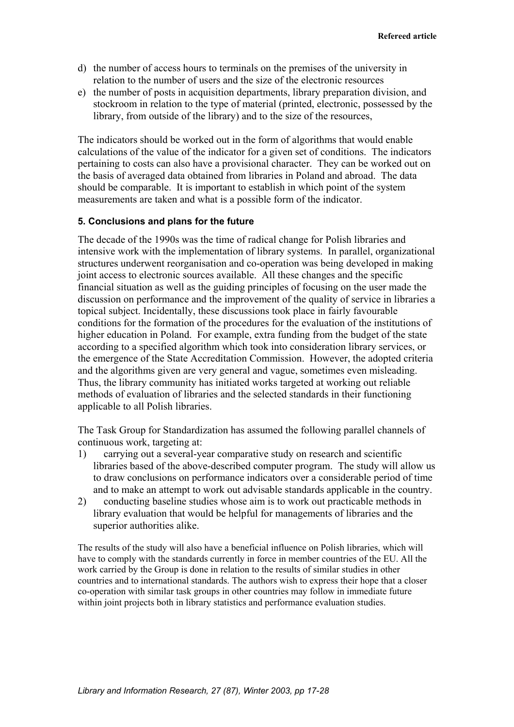- d) the number of access hours to terminals on the premises of the university in relation to the number of users and the size of the electronic resources
- e) the number of posts in acquisition departments, library preparation division, and stockroom in relation to the type of material (printed, electronic, possessed by the library, from outside of the library) and to the size of the resources,

The indicators should be worked out in the form of algorithms that would enable calculations of the value of the indicator for a given set of conditions. The indicators pertaining to costs can also have a provisional character. They can be worked out on the basis of averaged data obtained from libraries in Poland and abroad. The data should be comparable. It is important to establish in which point of the system measurements are taken and what is a possible form of the indicator.

### **5. Conclusions and plans for the future**

The decade of the 1990s was the time of radical change for Polish libraries and intensive work with the implementation of library systems. In parallel, organizational structures underwent reorganisation and co-operation was being developed in making joint access to electronic sources available. All these changes and the specific financial situation as well as the guiding principles of focusing on the user made the discussion on performance and the improvement of the quality of service in libraries a topical subject. Incidentally, these discussions took place in fairly favourable conditions for the formation of the procedures for the evaluation of the institutions of higher education in Poland. For example, extra funding from the budget of the state according to a specified algorithm which took into consideration library services, or the emergence of the State Accreditation Commission. However, the adopted criteria and the algorithms given are very general and vague, sometimes even misleading. Thus, the library community has initiated works targeted at working out reliable methods of evaluation of libraries and the selected standards in their functioning applicable to all Polish libraries.

The Task Group for Standardization has assumed the following parallel channels of continuous work, targeting at:

- 1) carrying out a several-year comparative study on research and scientific libraries based of the above-described computer program. The study will allow us to draw conclusions on performance indicators over a considerable period of time and to make an attempt to work out advisable standards applicable in the country.
- 2) conducting baseline studies whose aim is to work out practicable methods in library evaluation that would be helpful for managements of libraries and the superior authorities alike.

The results of the study will also have a beneficial influence on Polish libraries, which will have to comply with the standards currently in force in member countries of the EU. All the work carried by the Group is done in relation to the results of similar studies in other countries and to international standards. The authors wish to express their hope that a closer co-operation with similar task groups in other countries may follow in immediate future within joint projects both in library statistics and performance evaluation studies.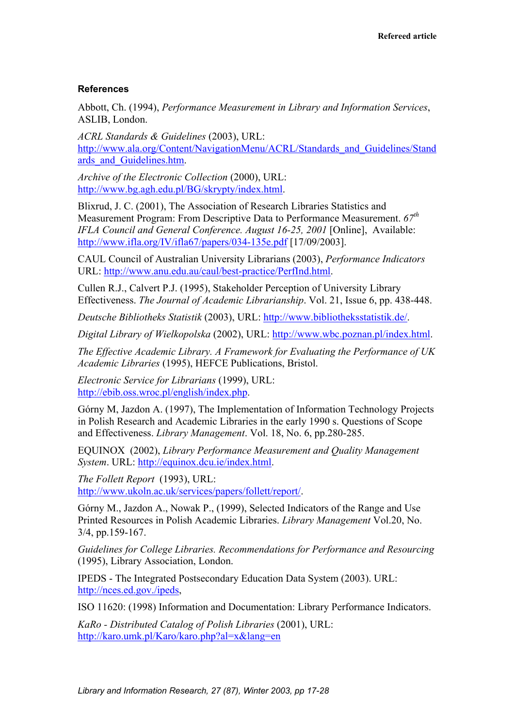# **References**

Abbott, Ch. (1994), *Performance Measurement in Library and Information Services*, ASLIB, London.

*ACRL Standards & Guidelines* (2003), URL: [http://www.ala.org/Content/NavigationMenu/ACRL/Standards\\_and\\_Guidelines/Stand](http://www.ala.org/Content/NavigationMenu/ACRL/Standards_and_Guidelines/Standards_and_Guidelines.htm) ards and Guidelines.htm.

*Archive of the Electronic Collection* (2000), URL: [http://www.bg.agh.edu.pl/BG/skrypty/index.html](http://victoria.uci.agh.edu.pl/BG/skrypty/index.html).

Blixrud, J. C. (2001), The Association of Research Libraries Statistics and Measurement Program: From Descriptive Data to Performance Measurement. *67th IFLA Council and General Conference. August 16-25, 2001* [Online], Available: <http://www.ifla.org/IV/ifla67/papers/034-135e.pdf>[17/09/2003].

CAUL Council of Australian University Librarians (2003), *Performance Indicators* URL: [http://www.anu.edu.au/caul/best-practice/PerfInd.html.](http://www.anu.edu.au/caul/best-practice/PerfInd.html)

Cullen R.J., Calvert P.J. (1995), Stakeholder Perception of University Library Effectiveness. *The Journal of Academic Librarianship*. Vol. 21, Issue 6, pp. 438-448.

*Deutsche Bibliotheks Statistik* (2003), URL: <http://www.bibliotheksstatistik.de/>.

*Digital Library of Wielkopolska* (2002), URL:<http://www.wbc.poznan.pl/index.html>.

*The Effective Academic Library. A Framework for Evaluating the Performance of UK Academic Libraries* (1995), HEFCE Publications, Bristol.

*Electronic Service for Librarians* (1999), URL: <http://ebib.oss.wroc.pl/english/index.php>.

Górny M, Jazdon A. (1997), The Implementation of Information Technology Projects in Polish Research and Academic Libraries in the early 1990 s. Questions of Scope and Effectiveness. *Library Management*. Vol. 18, No. 6, pp.280-285.

EQUINOX (2002), *Library Performance Measurement and Quality Management System*. URL: <http://equinox.dcu.ie/index.html>.

*The Follett Report* (1993), URL: <http://www.ukoln.ac.uk/services/papers/follett/report/>.

Górny M., Jazdon A., Nowak P., (1999), Selected Indicators of the Range and Use Printed Resources in Polish Academic Libraries. *Library Management* Vol.20, No. 3/4, pp.159-167.

*Guidelines for College Libraries. Recommendations for Performance and Resourcing* (1995), Library Association, London.

IPEDS - The Integrated Postsecondary Education Data System (2003). URL: <http://nces.ed.gov./ipeds>,

ISO 11620: (1998) Information and Documentation: Library Performance Indicators.

*KaRo - Distributed Catalog of Polish Libraries* (2001), URL: <http://karo.umk.pl/Karo/karo.php?al=x&lang=en>